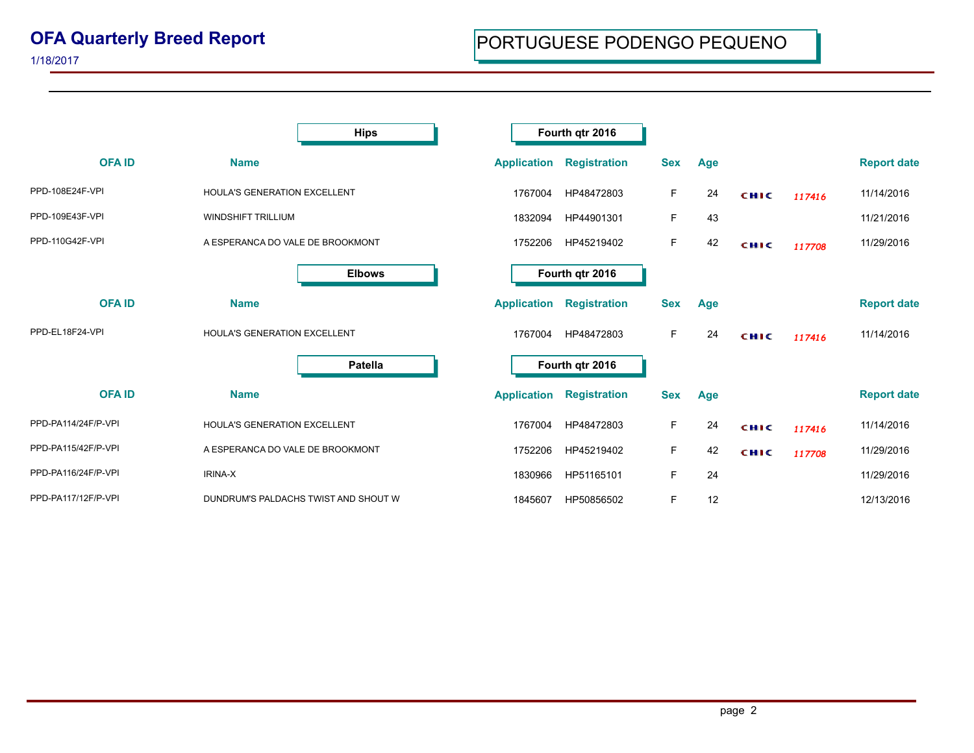## **OFA Quarterly Breed Report**

|                     |                                     | <b>Hips</b>                          |                    | Fourth qtr 2016     |            |            |             |        |                    |
|---------------------|-------------------------------------|--------------------------------------|--------------------|---------------------|------------|------------|-------------|--------|--------------------|
| <b>OFAID</b>        | <b>Name</b>                         |                                      | <b>Application</b> | <b>Registration</b> | <b>Sex</b> | Age        |             |        | <b>Report date</b> |
| PPD-108E24F-VPI     | <b>HOULA'S GENERATION EXCELLENT</b> |                                      | 1767004            | HP48472803          | F.         | 24         | CHIC        | 117416 | 11/14/2016         |
| PPD-109E43F-VPI     | <b>WINDSHIFT TRILLIUM</b>           |                                      | 1832094            | HP44901301          | F.         | 43         |             |        | 11/21/2016         |
| PPD-110G42F-VPI     | A ESPERANCA DO VALE DE BROOKMONT    |                                      | 1752206            | HP45219402          | F.         | 42         | <b>CHIC</b> | 117708 | 11/29/2016         |
|                     |                                     | <b>Elbows</b>                        |                    | Fourth qtr 2016     |            |            |             |        |                    |
| <b>OFAID</b>        | <b>Name</b>                         |                                      | <b>Application</b> | <b>Registration</b> | <b>Sex</b> | <b>Age</b> |             |        | <b>Report date</b> |
| PPD-EL18F24-VPI     | HOULA'S GENERATION EXCELLENT        |                                      | 1767004            | HP48472803          | F          | 24         | <b>CHIC</b> | 117416 | 11/14/2016         |
|                     |                                     | <b>Patella</b>                       |                    | Fourth qtr 2016     |            |            |             |        |                    |
| <b>OFAID</b>        | <b>Name</b>                         |                                      | <b>Application</b> | <b>Registration</b> | <b>Sex</b> | Age        |             |        | <b>Report date</b> |
| PPD-PA114/24F/P-VPI | <b>HOULA'S GENERATION EXCELLENT</b> |                                      | 1767004            | HP48472803          | F          | 24         | <b>CHIC</b> | 117416 | 11/14/2016         |
| PPD-PA115/42F/P-VPI | A ESPERANCA DO VALE DE BROOKMONT    |                                      | 1752206            | HP45219402          | F.         | 42         | <b>CHIC</b> | 117708 | 11/29/2016         |
| PPD-PA116/24F/P-VPI | <b>IRINA-X</b>                      |                                      | 1830966            | HP51165101          | F.         | 24         |             |        | 11/29/2016         |
| PPD-PA117/12F/P-VPI |                                     | DUNDRUM'S PALDACHS TWIST AND SHOUT W | 1845607            | HP50856502          | F          | 12         |             |        | 12/13/2016         |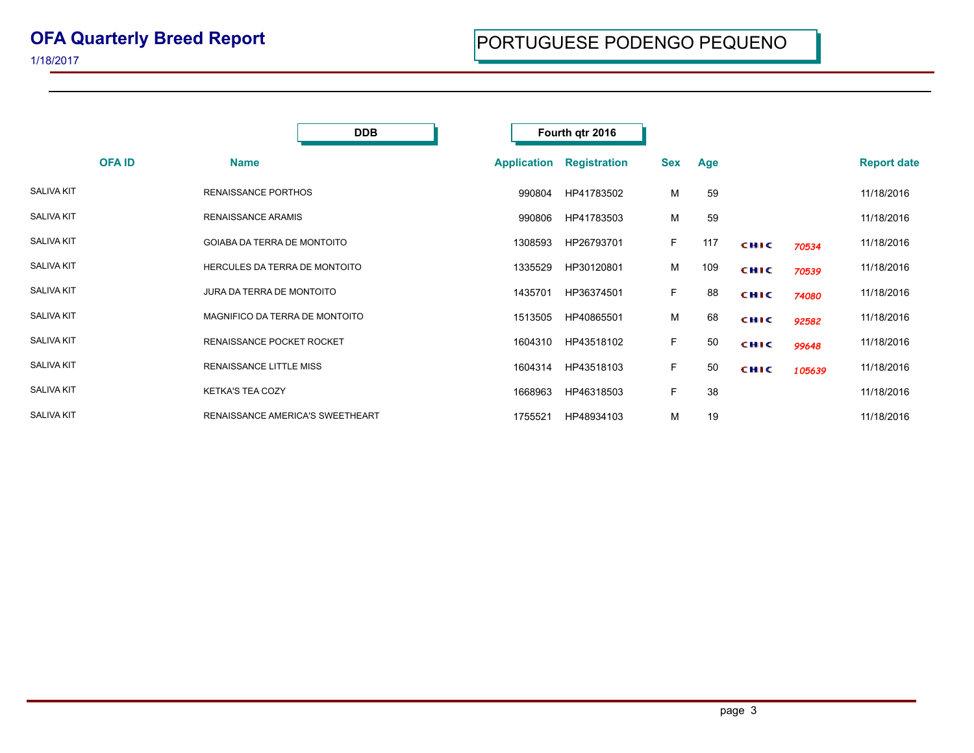|                   | <b>DDB</b>                       |                    | Fourth qtr 2016     |            |     |             |        |                    |
|-------------------|----------------------------------|--------------------|---------------------|------------|-----|-------------|--------|--------------------|
| <b>OFAID</b>      | <b>Name</b>                      | <b>Application</b> | <b>Registration</b> | <b>Sex</b> | Age |             |        | <b>Report date</b> |
| <b>SALIVA KIT</b> | <b>RENAISSANCE PORTHOS</b>       | 990804             | HP41783502          | М          | 59  |             |        | 11/18/2016         |
| <b>SALIVA KIT</b> | <b>RENAISSANCE ARAMIS</b>        | 990806             | HP41783503          | М          | 59  |             |        | 11/18/2016         |
| <b>SALIVA KIT</b> | GOIABA DA TERRA DE MONTOITO      | 1308593            | HP26793701          | F.         | 117 | <b>CHIC</b> | 70534  | 11/18/2016         |
| <b>SALIVA KIT</b> | HERCULES DA TERRA DE MONTOITO    | 1335529            | HP30120801          | М          | 109 | <b>CHIC</b> | 70539  | 11/18/2016         |
| <b>SALIVA KIT</b> | JURA DA TERRA DE MONTOITO        | 1435701            | HP36374501          | F.         | 88  | <b>CHIC</b> | 74080  | 11/18/2016         |
| <b>SALIVA KIT</b> | MAGNIFICO DA TERRA DE MONTOITO   | 1513505            | HP40865501          | М          | 68  | <b>CHIC</b> | 92582  | 11/18/2016         |
| <b>SALIVA KIT</b> | RENAISSANCE POCKET ROCKET        | 1604310            | HP43518102          | F.         | 50  | <b>CHIC</b> | 99648  | 11/18/2016         |
| <b>SALIVA KIT</b> | <b>RENAISSANCE LITTLE MISS</b>   | 1604314            | HP43518103          | F.         | 50  | <b>CHIC</b> | 105639 | 11/18/2016         |
| <b>SALIVA KIT</b> | <b>KETKA'S TEA COZY</b>          | 1668963            | HP46318503          | F.         | 38  |             |        | 11/18/2016         |
| <b>SALIVA KIT</b> | RENAISSANCE AMERICA'S SWEETHEART | 1755521            | HP48934103          | M          | 19  |             |        | 11/18/2016         |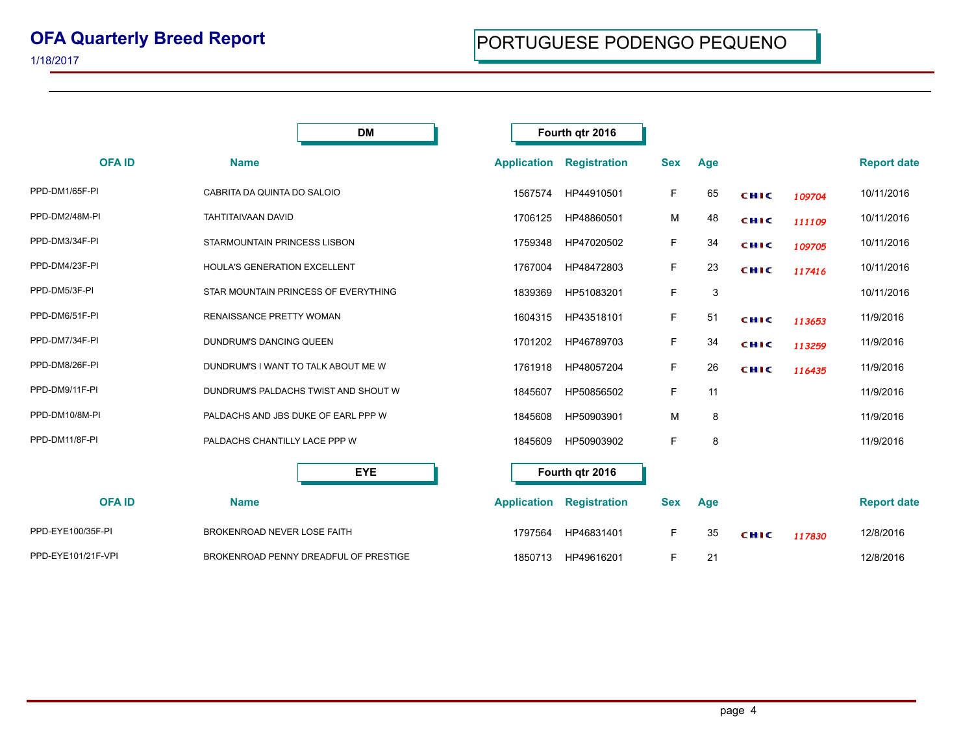## **OFA Quarterly Breed Report**

|                    | <b>DM</b>                             |                    | Fourth qtr 2016     |            |     |             |        |                    |
|--------------------|---------------------------------------|--------------------|---------------------|------------|-----|-------------|--------|--------------------|
| <b>OFAID</b>       | <b>Name</b>                           | <b>Application</b> | <b>Registration</b> | <b>Sex</b> | Age |             |        | <b>Report date</b> |
| PPD-DM1/65F-PI     | CABRITA DA QUINTA DO SALOIO           | 1567574            | HP44910501          | F          | 65  | CHIC        | 109704 | 10/11/2016         |
| PPD-DM2/48M-PI     | TAHTITAIVAAN DAVID                    | 1706125            | HP48860501          | М          | 48  | <b>CHIC</b> | 111109 | 10/11/2016         |
| PPD-DM3/34F-PI     | STARMOUNTAIN PRINCESS LISBON          | 1759348            | HP47020502          | F          | 34  | <b>CHIC</b> | 109705 | 10/11/2016         |
| PPD-DM4/23F-PI     | HOULA'S GENERATION EXCELLENT          | 1767004            | HP48472803          | F.         | 23  | <b>CHIC</b> | 117416 | 10/11/2016         |
| PPD-DM5/3F-PI      | STAR MOUNTAIN PRINCESS OF EVERYTHING  | 1839369            | HP51083201          | F.         | 3   |             |        | 10/11/2016         |
| PPD-DM6/51F-PI     | <b>RENAISSANCE PRETTY WOMAN</b>       | 1604315            | HP43518101          | F.         | 51  | CHIC        | 113653 | 11/9/2016          |
| PPD-DM7/34F-PI     | DUNDRUM'S DANCING QUEEN               | 1701202            | HP46789703          | F          | 34  | CHIC        | 113259 | 11/9/2016          |
| PPD-DM8/26F-PI     | DUNDRUM'S I WANT TO TALK ABOUT ME W   | 1761918            | HP48057204          | F          | 26  | CHIC        | 116435 | 11/9/2016          |
| PPD-DM9/11F-PI     | DUNDRUM'S PALDACHS TWIST AND SHOUT W  | 1845607            | HP50856502          | F          | 11  |             |        | 11/9/2016          |
| PPD-DM10/8M-PI     | PALDACHS AND JBS DUKE OF EARL PPP W   | 1845608            | HP50903901          | M          | 8   |             |        | 11/9/2016          |
| PPD-DM11/8F-PI     | PALDACHS CHANTILLY LACE PPP W         | 1845609            | HP50903902          | F          | 8   |             |        | 11/9/2016          |
|                    | <b>EYE</b>                            |                    | Fourth qtr 2016     |            |     |             |        |                    |
| <b>OFAID</b>       | <b>Name</b>                           | <b>Application</b> | <b>Registration</b> | <b>Sex</b> | Age |             |        | <b>Report date</b> |
| PPD-EYE100/35F-PI  | BROKENROAD NEVER LOSE FAITH           | 1797564            | HP46831401          | F.         | 35  | <b>CHIC</b> | 117830 | 12/8/2016          |
| PPD-EYE101/21F-VPI | BROKENROAD PENNY DREADFUL OF PRESTIGE | 1850713            | HP49616201          | F.         | 21  |             |        | 12/8/2016          |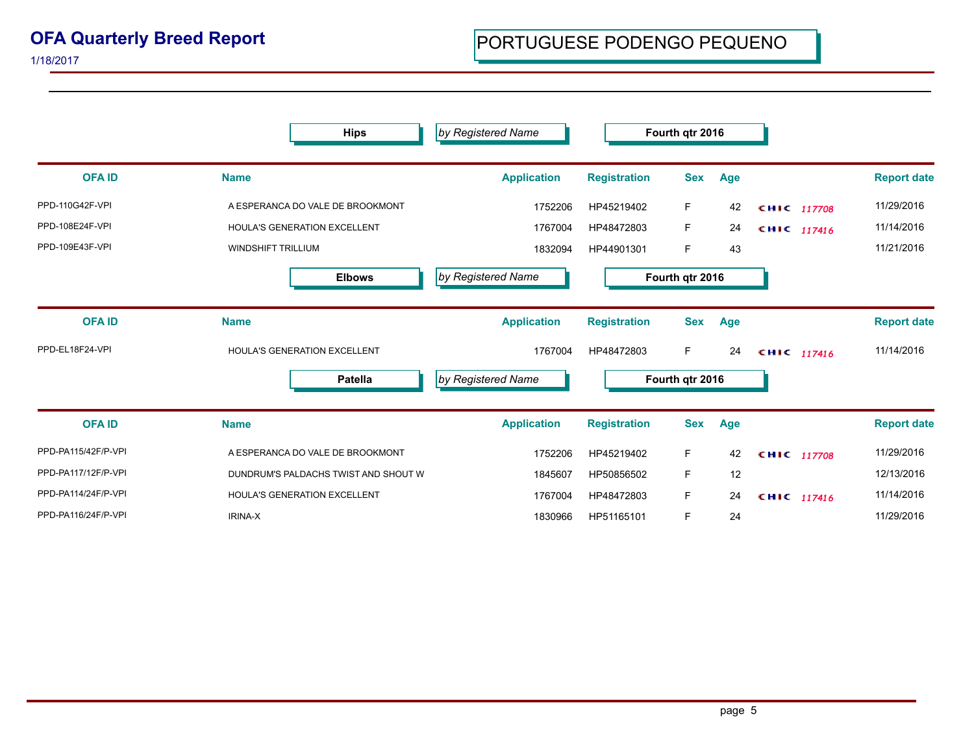## **OFA Quarterly Breed Report**

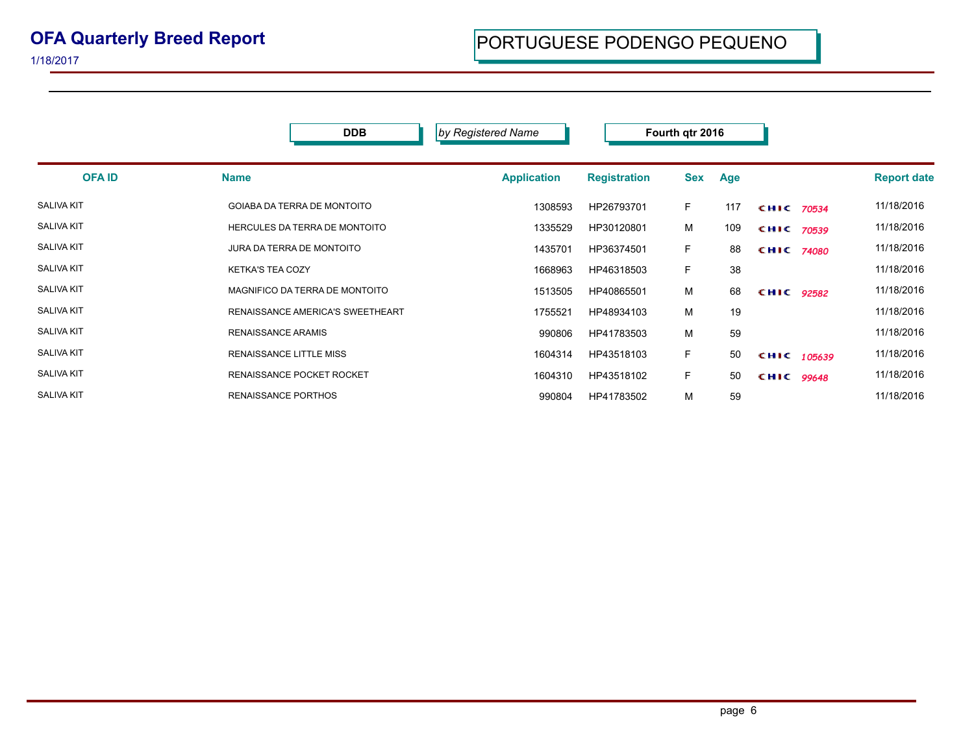|                   | <b>DDB</b>                         | by Registered Name |                     | Fourth qtr 2016 |     |                   |               |                    |
|-------------------|------------------------------------|--------------------|---------------------|-----------------|-----|-------------------|---------------|--------------------|
| <b>OFA ID</b>     | <b>Name</b>                        | <b>Application</b> | <b>Registration</b> | <b>Sex</b>      | Age |                   |               | <b>Report date</b> |
| <b>SALIVA KIT</b> | <b>GOIABA DA TERRA DE MONTOITO</b> | 1308593            | HP26793701          | F.              | 117 | CHIC 70534        |               | 11/18/2016         |
| <b>SALIVA KIT</b> | HERCULES DA TERRA DE MONTOITO      | 1335529            | HP30120801          | М               | 109 | CHIC 70539        |               | 11/18/2016         |
| <b>SALIVA KIT</b> | JURA DA TERRA DE MONTOITO          | 1435701            | HP36374501          | F.              | 88  | <b>CHIC 74080</b> |               | 11/18/2016         |
| <b>SALIVA KIT</b> | <b>KETKA'S TEA COZY</b>            | 1668963            | HP46318503          | F.              | 38  |                   |               | 11/18/2016         |
| <b>SALIVA KIT</b> | MAGNIFICO DA TERRA DE MONTOITO     | 1513505            | HP40865501          | М               | 68  | CHIC 92582        |               | 11/18/2016         |
| <b>SALIVA KIT</b> | RENAISSANCE AMERICA'S SWEETHEART   | 1755521            | HP48934103          | M               | 19  |                   |               | 11/18/2016         |
| <b>SALIVA KIT</b> | <b>RENAISSANCE ARAMIS</b>          | 990806             | HP41783503          | М               | 59  |                   |               | 11/18/2016         |
| <b>SALIVA KIT</b> | <b>RENAISSANCE LITTLE MISS</b>     | 1604314            | HP43518103          | F.              | 50  |                   | CHIC $105639$ | 11/18/2016         |
| <b>SALIVA KIT</b> | <b>RENAISSANCE POCKET ROCKET</b>   | 1604310            | HP43518102          | F.              | 50  | CHIC 99648        |               | 11/18/2016         |
| <b>SALIVA KIT</b> | <b>RENAISSANCE PORTHOS</b>         | 990804             | HP41783502          | M               | 59  |                   |               | 11/18/2016         |